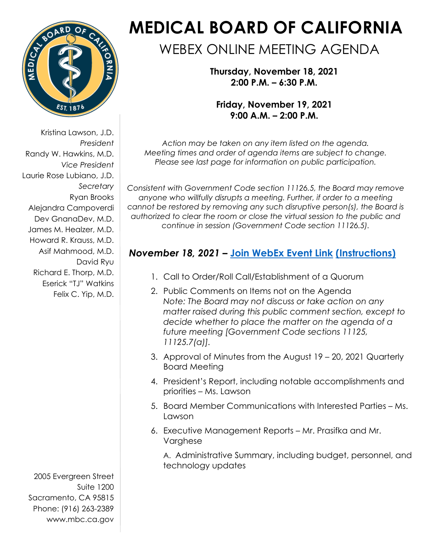

Kristina Lawson, J.D. *President*  Randy W. Hawkins, M.D. *Vice President* Laurie Rose Lubiano, J.D. *Secretary*  Ryan Brooks Alejandra Campoverdi Dev GnanaDev, M.D. James M. Healzer, M.D. Howard R. Krauss, M.D. Asif Mahmood, M.D. David Ryu Richard E. Thorp, M.D. Eserick "TJ" Watkins Felix C. Yip, M.D.

2005 Evergreen Street Suite 1200 Sacramento, CA 95815 Phone: (916) 263-2389 [www.mbc.ca.gov](http://www.mbc.ca.gov/) 

# **MEDICAL BOARD OF CALIFORNIA**

# WEBEX ONLINE MEETING AGENDA

**Thursday, November 18, 2021 2:00 P.M. – 6:30 P.M.**

**Friday, November 19, 2021 9:00 A.M. – 2:00 P.M.**

*Action may be taken on any item listed on the agenda. Meeting times and order of agenda items are subject to change. Please see last page for information on public participation.*

*Consistent with Government Code section 11126.5, the Board may remove anyone who willfully disrupts a meeting. Further, if order to a meeting cannot be restored by removing any such disruptive person(s), the Board is authorized to clear the room or close the virtual session to the public and continue in session (Government Code section 11126.5).* 

# *November 18, 2021* **– [Join WebEx Event Link](https://dca-meetings.webex.com/dca-meetings/j.php?MTID=ma6026e9573a55eb69be8aef7814fdd48) [\(Instructions\)](https://www.mbc.ca.gov/Download/User-Guides/HowToJoinAWebExEvent.pdf)**

- 1. Call to Order/Roll Call/Establishment of a Quorum
- 2. Public Comments on Items not on the Agenda *Note: The Board may not discuss or take action on any matter raised during this public comment section, except to decide whether to place the matter on the agenda of a future meeting [Government Code sections 11125, 11125.7(a)].*
- 3. Approval of Minutes from the August 19 20, 2021 Quarterly Board Meeting
- 4. President's Report, including notable accomplishments and priorities – Ms. Lawson
- 5. Board Member Communications with Interested Parties Ms. Lawson
- 6. Executive Management Reports Mr. Prasifka and Mr. Varghese

A. Administrative Summary, including budget, personnel, and technology updates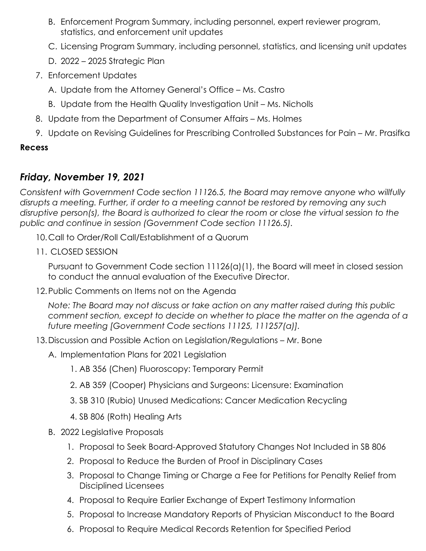- B. Enforcement Program Summary, including personnel, expert reviewer program, statistics, and enforcement unit updates
- C. Licensing Program Summary, including personnel, statistics, and licensing unit updates
- D. 2022 2025 Strategic Plan
- 7. Enforcement Updates
	- A. Update from the Attorney General's Office Ms. Castro
	- B. Update from the Health Quality Investigation Unit Ms. Nicholls
- 8. Update from the Department of Consumer Affairs Ms. Holmes
- 9. Update on Revising Guidelines for Prescribing Controlled Substances for Pain Mr. Prasifka

#### **Recess**

## *Friday, November 19, 2021*

*Consistent with Government Code section 11126.5, the Board may remove anyone who willfully disrupts a meeting. Further, if order to a meeting cannot be restored by removing any such disruptive person(s), the Board is authorized to clear the room or close the virtual session to the public and continue in session (Government Code section 11126.5).*

- 10.Call to Order/Roll Call/Establishment of a Quorum
- 11. CLOSED SESSION

Pursuant to Government Code section 11126(a)(1), the Board will meet in closed session to conduct the annual evaluation of the Executive Director.

12.Public Comments on Items not on the Agenda

*Note: The Board may not discuss or take action on any matter raised during this public comment section, except to decide on whether to place the matter on the agenda of a future meeting [Government Code sections 11125, 111257(a)].* 

- 13.Discussion and Possible Action on Legislation/Regulations Mr. Bone
	- A. Implementation Plans for 2021 Legislation
		- 1. AB 356 (Chen) Fluoroscopy: Temporary Permit
		- 2. AB 359 (Cooper) Physicians and Surgeons: Licensure: Examination
		- 3. SB 310 (Rubio) Unused Medications: Cancer Medication Recycling
		- 4. SB 806 (Roth) Healing Arts
	- B. 2022 Legislative Proposals
		- 1. Proposal to Seek Board-Approved Statutory Changes Not Included in SB 806
		- 2. Proposal to Reduce the Burden of Proof in Disciplinary Cases
		- 3. Proposal to Change Timing or Charge a Fee for Petitions for Penalty Relief from Disciplined Licensees
		- 4. Proposal to Require Earlier Exchange of Expert Testimony Information
		- 5. Proposal to Increase Mandatory Reports of Physician Misconduct to the Board
		- 6. Proposal to Require Medical Records Retention for Specified Period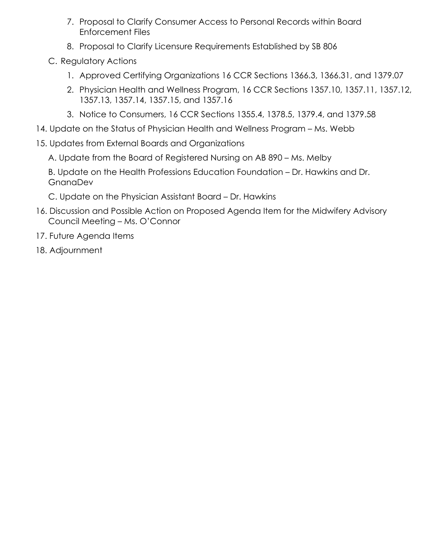- 7. Proposal to Clarify Consumer Access to Personal Records within Board Enforcement Files
- 8. Proposal to Clarify Licensure Requirements Established by SB 806
- C. Regulatory Actions
	- 1. Approved Certifying Organizations 16 CCR Sections 1366.3, 1366.31, and 1379.07
	- 2. Physician Health and Wellness Program, 16 CCR Sections 1357.10, 1357.11, 1357.12, 1357.13, 1357.14, 1357.15, and 1357.16
	- 3. Notice to Consumers, 16 CCR Sections 1355.4, 1378.5, 1379.4, and 1379.58
- 14. Update on the Status of Physician Health and Wellness Program Ms. Webb
- 15. Updates from External Boards and Organizations

A. Update from the Board of Registered Nursing on AB 890 – Ms. Melby

B. Update on the Health Professions Education Foundation – Dr. Hawkins and Dr. **GnanaDev** 

C. Update on the Physician Assistant Board – Dr. Hawkins

- 16. Discussion and Possible Action on Proposed Agenda Item for the Midwifery Advisory Council Meeting – Ms. O'Connor
- 17. Future Agenda Items
- 18. Adjournment